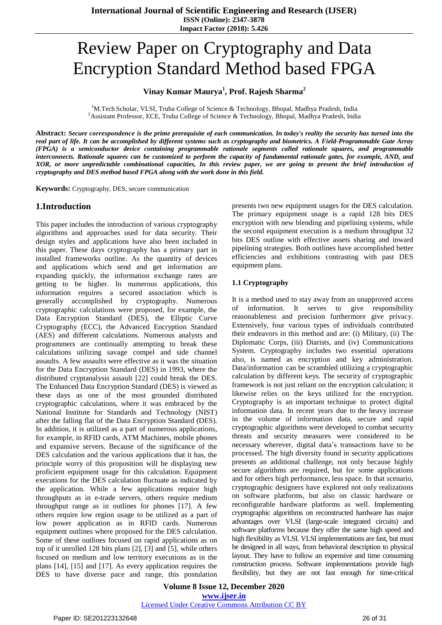# Review Paper on Cryptography and Data Encryption Standard Method based FPGA

## **Vinay Kumar Maurya<sup>1</sup> , Prof. Rajesh Sharma<sup>2</sup>**

<sup>1</sup>M.Tech Scholar, VLSI, Truba College of Science & Technology, Bhopal, Madhya Pradesh, India <sup>2</sup>Assistant Professor, ECE, Truba College of Science & Technology, Bhopal, Madhya Pradesh, India

Abstract: Secure correspondence is the prime prerequisite of each communication. In today's reality the security has turned into the real part of life. It can be accomplished by different systems such as cryptography and biometrics. A Field-Programmable Gate Array *(FPGA) is a semiconductor device containing programmable rationale segments called rationale squares, and programmable* interconnects. Rationale squares can be customized to perform the capacity of fundamental rationale gates, for example, AND, and XOR, or more unpredictable combinational capacities, In this review paper, we are going to present the brief introduction of *cryptography and DES method based FPGA along with the work done in this field.*

**Keywords:** Cryptography, DES, secure communication

## **1.Introduction**

This paper includes the introduction of various cryptography algorithms and approaches used for data security. Their design styles and applications have also been included in this paper. These days cryptography has a primary part in installed frameworks outline. As the quantity of devices and applications which send and get information are expanding quickly, the information exchange rates are getting to be higher. In numerous applications, this information requires a secured association which is generally accomplished by cryptography. Numerous cryptographic calculations were proposed, for example, the Data Encryption Standard (DES), the Elliptic Curve Cryptography (ECC), the Advanced Encryption Standard (AES) and different calculations. Numerous analysts and programmers are continually attempting to break these calculations utilizing savage compel and side channel assaults. A few assaults were effective as it was the situation for the Data Encryption Standard (DES) in 1993, where the distributed cryptanalysis assault [22] could break the DES. The Enhanced Data Encryption Standard (DES) is viewed as these days as one of the most grounded distributed cryptographic calculations, where it was embraced by the National Institute for Standards and Technology (NIST) after the falling flat of the Data Encryption Standard (DES). In addition, it is utilized as a part of numerous applications, for example, in RFID cards, ATM Machines, mobile phones and expansive servers. Because of the significance of the DES calculation and the various applications that it has, the principle worry of this proposition will be displaying new proficient equipment usage for this calculation. Equipment executions for the DES calculation fluctuate as indicated by the application. While a few applications require high throughputs as in e-trade servers, others require medium throughput range as in outlines for phones [17]. A few others require low region usage to be utilized as a part of low power application as in RFID cards. Numerous equipment outlines where proposed for the DES calculation. Some of these outlines focused on rapid applications as on top of it unrolled 128 bits plans [2], [3] and [5], while others focused on medium and low territory executions as in the plans [14], [15] and [17]. As every application requires the DES to have diverse pace and range, this postulation presents two new equipment usages for the DES calculation. The primary equipment usage is a rapid 128 bits DES encryption with new blending and pipelining systems, while the second equipment execution is a medium throughput 32 bits DES outline with effective assets sharing and inward pipelining strategies. Both outlines have accomplished better efficiencies and exhibitions contrasting with past DES equipment plans.

#### **1.1 Cryptography**

It is a method used to stay away from an unapproved access of information. It serves to give responsibility reasonableness and precision furthermore give privacy. Extensively, four various types of individuals contributed their endeavors in this method and are: (i) Military, (ii) The Diplomatic Corps, (iii) Diarists, and (iv) Communications System. Cryptography includes two essential operations also, is named as encryption and key administration. Data/information can be scrambled utilizing a cryptographic calculation by different keys. The security of cryptographic framework is not just reliant on the encryption calculation; it likewise relies on the keys utilized for the encryption. Cryptography is an important technique to protect digital information data. In recent years due to the heavy increase in the volume of information data, secure and rapid cryptographic algorithms were developed to combat security threats and security measures were considered to be necessary wherever, digital data's transactions have to be processed. The high diversity found in security applications presents an additional challenge, not only because highly secure algorithms are required, but for some applications and for others high performance, less space. In that scenario, cryptographic designers have explored not only realizations on software platforms, but also on classic hardware or reconfigurable hardware platforms as well. Implementing cryptographic algorithms on reconstructed hardware has major advantages over VLSI (large-scale integrated circuits) and software platforms because they offer the same high speed and high flexibility as VLSI. VLSI implementations are fast, but must be designed in all ways, from behavioral description to physical layout. They have to follow an expensive and time consuming construction process. Software implementations provide high flexibility, but they are not fast enough for time-critical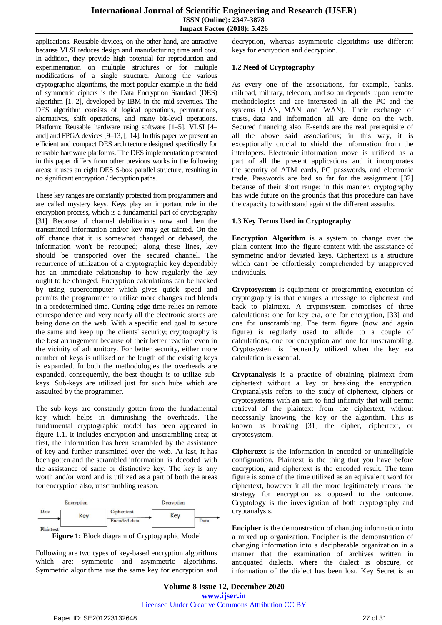applications. Reusable devices, on the other hand, are attractive because VLSI reduces design and manufacturing time and cost. In addition, they provide high potential for reproduction and experimentation on multiple structures or for multiple modifications of a single structure. Among the various cryptographic algorithms, the most popular example in the field of symmetric ciphers is the Data Encryption Standard (DES) algorithm [1, 2], developed by IBM in the mid-seventies. The DES algorithm consists of logical operations, permutations, alternatives, shift operations, and many bit-level operations. Platform: Reusable hardware using software [1–5], VLSI [4– and] and FPGA devices [9–13, [, 14]. In this paper we present an efficient and compact DES architecture designed specifically for reusable hardware platforms. The DES implementation presented in this paper differs from other previous works in the following areas: it uses an eight DES S-box parallel structure, resulting in no significant encryption / decryption paths.

These key ranges are constantly protected from programmers and are called mystery keys. Keys play an important role in the encryption process, which is a fundamental part of cryptography [31]. Because of channel debilitations now and then the transmitted information and/or key may get tainted. On the off chance that it is somewhat changed or debased, the information won't be recouped; along these lines, key should be transported over the secured channel. The recurrence of utilization of a cryptographic key dependably has an immediate relationship to how regularly the key ought to be changed. Encryption calculations can be hacked by using supercomputer which gives quick speed and permits the programmer to utilize more changes and blends in a predetermined time. Cutting edge time relies on remote correspondence and very nearly all the electronic stores are being done on the web. With a specific end goal to secure the same and keep up the clients' security; cryptography is the best arrangement because of their better reaction even in the vicinity of admonitory. For better security, either more number of keys is utilized or the length of the existing keys is expanded. In both the methodologies the overheads are expanded, consequently, the best thought is to utilize subkeys. Sub-keys are utilized just for such hubs which are assaulted by the programmer.

The sub keys are constantly gotten from the fundamental key which helps in diminishing the overheads. The fundamental cryptographic model has been appeared in figure 1.1. It includes encryption and unscrambling area; at first, the information has been scrambled by the assistance of key and further transmitted over the web. At last, it has been gotten and the scrambled information is decoded with the assistance of same or distinctive key. The key is any worth and/or word and is utilized as a part of both the areas for encryption also, unscrambling reason.





Following are two types of key-based encryption algorithms which are: symmetric and asymmetric algorithms. Symmetric algorithms use the same key for encryption and

decryption, whereas asymmetric algorithms use different keys for encryption and decryption.

#### **1.2 Need of Cryptography**

As every one of the associations, for example, banks, railroad, military, telecom, and so on depends upon remote methodologies and are interested in all the PC and the systems (LAN, MAN and WAN). Their exchange of trusts, data and information all are done on the web. Secured financing also, E-sends are the real prerequisite of all the above said associations; in this way, it is exceptionally crucial to shield the information from the interlopers. Electronic information move is utilized as a part of all the present applications and it incorporates the security of ATM cards, PC passwords, and electronic trade. Passwords are bad so far for the assignment [32] because of their short range; in this manner, cryptography has wide future on the grounds that this procedure can have the capacity to with stand against the different assaults.

#### **1.3 Key Terms Used in Cryptography**

**Encryption Algorithm** is a system to change over the plain content into the figure content with the assistance of symmetric and/or deviated keys. Ciphertext is a structure which can't be effortlessly comprehended by unapproved individuals.

**Cryptosystem** is equipment or programming execution of cryptography is that changes a message to ciphertext and back to plaintext. A cryptosystem comprises of three calculations: one for key era, one for encryption, [33] and one for unscrambling. The term figure (now and again figure) is regularly used to allude to a couple of calculations, one for encryption and one for unscrambling. Cryptosystem is frequently utilized when the key era calculation is essential.

**Cryptanalysis** is a practice of obtaining plaintext from ciphertext without a key or breaking the encryption. Cryptanalysis refers to the study of ciphertext, ciphers or cryptosystems with an aim to find infirmity that will permit retrieval of the plaintext from the ciphertext, without necessarily knowing the key or the algorithm. This is known as breaking [31] the cipher, ciphertext, or cryptosystem.

**Ciphertext** is the information in encoded or unintelligible configuration. Plaintext is the thing that you have before encryption, and ciphertext is the encoded result. The term figure is some of the time utilized as an equivalent word for ciphertext, however it all the more legitimately means the strategy for encryption as opposed to the outcome. Cryptology is the investigation of both cryptography and cryptanalysis.

**Encipher** is the demonstration of changing information into a mixed up organization. Encipher is the demonstration of changing information into a decipherable organization in a manner that the examination of archives written in antiquated dialects, where the dialect is obscure, or information of the dialect has been lost. Key Secret is an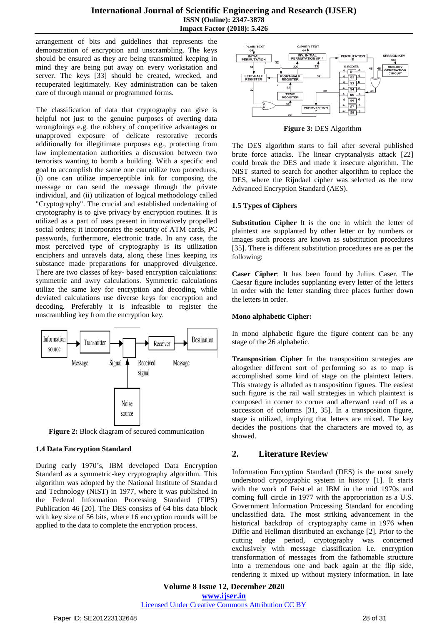#### **International Journal of Scientific Engineering and Research (IJSER) ISSN (Online): 2347-3878 Impact Factor (2018): 5.426**

arrangement of bits and guidelines that represents the demonstration of encryption and unscrambling. The keys should be ensured as they are being transmitted keeping in mind they are being put away on every workstation and server. The keys [33] should be created, wrecked, and recuperated legitimately. Key administration can be taken care of through manual or programmed forms.

The classification of data that cryptography can give is helpful not just to the genuine purposes of averting data wrongdoings e.g. the robbery of competitive advantages or unapproved exposure of delicate restorative records additionally for illegitimate purposes e.g., protecting from law implementation authorities a discussion between two terrorists wanting to bomb a building. With a specific end goal to accomplish the same one can utilize two procedures, (i) one can utilize imperceptible ink for composing the message or can send the message through the private individual, and (ii) utilization of logical methodology called "Cryptography". The crucial and established undertaking of cryptography is to give privacy by encryption routines. It is utilized as a part of uses present in innovatively propelled social orders; it incorporates the security of ATM cards, PC passwords, furthermore, electronic trade. In any case, the most perceived type of cryptography is its utilization enciphers and unravels data, along these lines keeping its substance made preparations for unapproved divulgence. There are two classes of key- based encryption calculations: symmetric and awry calculations. Symmetric calculations utilize the same key for encryption and decoding, while deviated calculations use diverse keys for encryption and decoding. Preferably it is infeasible to register the unscrambling key from the encryption key.



**Figure 2:** Block diagram of secured communication

#### **1.4 Data Encryption Standard**

During early 1970's, IBM developed Data Encryption Standard as a symmetric-key cryptography algorithm. This algorithm was adopted by the National Institute of Standard and Technology (NIST) in 1977, where it was published in the Federal Information Processing Standard (FIPS) Publication 46 [20]. The DES consists of 64 bits data block with key size of 56 bits, where 16 encryption rounds will be applied to the data to complete the encryption process.



**Figure 3:** DES Algorithm

The DES algorithm starts to fail after several published brute force attacks. The linear cryptanalysis attack [22] could break the DES and made it insecure algorithm. The NIST started to search for another algorithm to replace the DES, where the Rijndael cipher was selected as the new Advanced Encryption Standard (AES).

#### **1.5 Types of Ciphers**

**Substitution Cipher** It is the one in which the letter of plaintext are supplanted by other letter or by numbers or images such process are known as substitution procedures [35]. There is different substitution procedures are as per the following:

**Caser Cipher**: It has been found by Julius Caser. The Caesar figure includes supplanting every letter of the letters in order with the letter standing three places further down the letters in order.

#### **Mono alphabetic Cipher:**

In mono alphabetic figure the figure content can be any stage of the 26 alphabetic.

**Transposition Cipher** In the transposition strategies are altogether different sort of performing so as to map is accomplished some kind of stage on the plaintext letters. This strategy is alluded as transposition figures. The easiest such figure is the rail wall strategies in which plaintext is composed in corner to corner and afterward read off as a succession of columns [31, 35]. In a transposition figure, stage is utilized, implying that letters are mixed. The key decides the positions that the characters are moved to, as showed.

# **2. Literature Review**

Information Encryption Standard (DES) is the most surely understood cryptographic system in history [1]. It starts with the work of Feist el at IBM in the mid 1970s and coming full circle in 1977 with the appropriation as a U.S. Government Information Processing Standard for encoding unclassified data. The most striking advancement in the historical backdrop of cryptography came in 1976 when Diffie and Hellman distributed an exchange [2]. Prior to the cutting edge period, cryptography was concerned exclusively with message classification i.e. encryption transformation of messages from the fathomable structure into a tremendous one and back again at the flip side, rendering it mixed up without mystery information. In late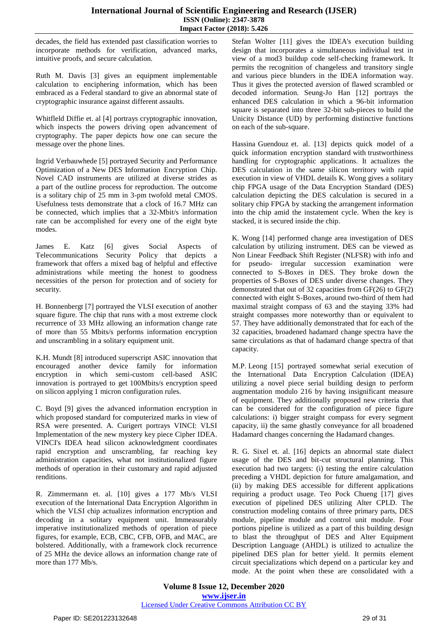decades, the field has extended past classification worries to incorporate methods for verification, advanced marks, intuitive proofs, and secure calculation.

Ruth M. Davis [3] gives an equipment implementable calculation to enciphering information, which has been embraced as a Federal standard to give an abnormal state of cryptographic insurance against different assaults.

Whitfleld Diffie et. al [4] portrays cryptographic innovation, which inspects the powers driving open advancement of cryptography. The paper depicts how one can secure the message over the phone lines.

Ingrid Verbauwhede [5] portrayed Security and Performance Optimization of a New DES Information Encryption Chip. Novel CAD instruments are utilized at diverse strides as a part of the outline process for reproduction. The outcome is a solitary chip of 25 mm in 3-pm twofold metal CMOS. Usefulness tests demonstrate that a clock of 16.7 MHz can be connected, which implies that a 32-Mbit/s information rate can be accomplished for every one of the eight byte modes.

James E. Katz [6] gives Social Aspects of Telecommunications Security Policy that depicts a framework that offers a mixed bag of helpful and effective administrations while meeting the honest to goodness necessities of the person for protection and of society for security.

H. Bonnenbergt [7] portrayed the VLSI execution of another square figure. The chip that runs with a most extreme clock recurrence of 33 MHz allowing an information change rate of more than 55 Mbits/s performs information encryption and unscrambling in a solitary equipment unit.

K.H. Mundt [8] introduced superscript ASIC innovation that encouraged another device family for information encryption in which semi-custom cell-based ASIC innovation is portrayed to get 100Mbits/s encryption speed on silicon applying 1 micron configuration rules.

C. Boyd [9] gives the advanced information encryption in which proposed standard for computerized marks in view of RSA were presented. A. Curigert portrays VINCI: VLSI Implementation of the new mystery key piece Cipher IDEA. VINCI's IDEA head silicon acknowledgment coordinates rapid encryption and unscrambling, far reaching key administration capacities, what not institutionalized figure methods of operation in their customary and rapid adjusted renditions.

R. Zimmermann et. al. [10] gives a 177 Mb/s VLSI execution of the International Data Encryption Algorithm in which the VLSI chip actualizes information encryption and decoding in a solitary equipment unit. Immeasurably imperative institutionalized methods of operation of piece figures, for example, ECB, CBC, CFB, OFB, and MAC, are bolstered. Additionally, with a framework clock recurrence of 25 MHz the device allows an information change rate of more than 177 Mb/s.

Stefan Wolter [11] gives the IDEA's execution building design that incorporates a simultaneous individual test in view of a mod3 buildup code self-checking framework. It permits the recognition of changeless and transitory single and various piece blunders in the IDEA information way. Thus it gives the protected aversion of flawed scrambled or decoded information. Seung-Jo Han [12] portrays the enhanced DES calculation in which a 96-bit information square is separated into three 32-bit sub-pieces to build the Unicity Distance (UD) by performing distinctive functions on each of the sub-square.

Hassina Guendouz et. al. [13] depicts quick model of a quick information encryption standard with trustworthiness handling for cryptographic applications. It actualizes the DES calculation in the same silicon territory with rapid execution in view of VHDL details K. Wong gives a solitary chip FPGA usage of the Data Encryption Standard (DES) calculation depicting the DES calculation is secured in a solitary chip FPGA by stacking the arrangement information into the chip amid the instatement cycle. When the key is stacked, it is secured inside the chip.

K. Wong [14] performed change area investigation of DES calculation by utilizing instrument. DES can be viewed as Non Linear Feedback Shift Register (NLFSR) with info and for pseudo- irregular succession examination were connected to S-Boxes in DES. They broke down the properties of S-Boxes of DES under diverse changes. They demonstrated that out of 32 capacities from GF(26) to GF(2) connected with eight S-Boxes, around two-third of them had maximal straight compass of 63 and the staying 33% had straight compasses more noteworthy than or equivalent to 57. They have additionally demonstrated that for each of the 32 capacities, broadened hadamard change spectra have the same circulations as that of hadamard change spectra of that capacity.

M.P. Leong [15] portrayed somewhat serial execution of the International Data Encryption Calculation (IDEA) utilizing a novel piece serial building design to perform augmentation modulo 216 by having insignificant measure of equipment. They additionally proposed new criteria that can be considered for the configuration of piece figure calculations: i) bigger straight compass for every segment capacity, ii) the same ghastly conveyance for all broadened Hadamard changes concerning the Hadamard changes.

R. G. Sixel et. al. [16] depicts an abnormal state dialect usage of the DES and bit-cut structural planning. This execution had two targets: (i) testing the entire calculation preceding a VHDL depiction for future amalgamation, and (ii) by making DES accessible for different applications requiring a product usage. Teo Pock Chueng [17] gives execution of pipelined DES utilizing Alter CPLD. The construction modeling contains of three primary parts, DES module, pipeline module and control unit module. Four portions pipeline is utilized as a part of this building design to blast the throughput of DES and Alter Equipment Description Language (AHDL) is utilized to actualize the pipelined DES plan for better yield. It permits element circuit specializations which depend on a particular key and mode. At the point when these are consolidated with a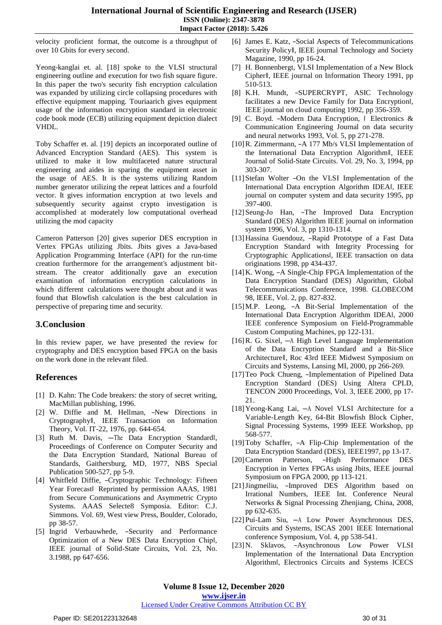#### **International Journal of Scientific Engineering and Research (IJSER) ISSN (Online): 2347-3878 Impact Factor (2018): 5.426**

velocity proficient format, the outcome is a throughput of over 10 Gbits for every second.

Yeong-kanglai et. al. [18] spoke to the VLSI structural engineering outline and execution for two fish square figure. In this paper the two's security fish encryption calculation was expanded by utilizing circle collapsing procedures with effective equipment mapping. Touriaarich gives equipment usage of the information encryption standard in electronic code book mode (ECB) utilizing equipment depiction dialect VHDL.

Toby Schaffer et. al. [19] depicts an incorporated outline of Advanced Encryption Standard (AES). This system is utilized to make it low multifaceted nature structural engineering and aides in sparing the equipment asset in the usage of AES. It is the systems utilizing Random number generator utilizing the repeat lattices and a fourfold vector. It gives information encryption at two levels and subsequently security against crypto investigation is accomplished at moderately low computational overhead utilizing the mod capacity

Cameron Patterson [20] gives superior DES encryption in Vertex FPGAs utilizing Jbits. Jbits gives a Java-based Application Programming Interface (API) for the run-time creation furthermore for the arrangement's adjustment bitstream. The creator additionally gave an execution examination of information encryption calculations in which different calculations were thought about and it was found that Blowfish calculation is the best calculation in perspective of preparing time and security.

# **3.Conclusion**

In this review paper, we have presented the review for cryptography and DES encryption based FPGA on the basis on the work done in the relevant filed.

# **References**

- [1] D. Kahn: The Code breakers: the story of secret writing, MacMillan publishing, 1996.
- [2] W. Diffie and M. Hellman, -New Directions in Cryptography‖, IEEE Transaction on Information Theory, Vol. IT-22, 1976, pp. 644-654.
- [3] Ruth M. Davis, -The Data Encryption Standardl, Proceedings of Conference on Computer Security and the Data Encryption Standard, National Bureau of Standards, Gaithersburg, MD, 1977, NBS Special Publication 500-527, pp 5-9.
- [4] Whitfleld Diffie, ―Cryptographic Technology: Fifteen Year Forecast‖ Reprinted by permission AAAS, 1981 from Secure Communications and Asymmetric Crypto Systems. AAAS Selecte8 Symposia. Editor: C.J. Simmons. Vol. 69, West view Press, Boulder, Colorado, pp 38-57.
- [5] Ingrid Verbauwhede, -Security and Performance Optimization of a New DES Data Encryption Chip‖, IEEE journal of Solid-State Circuits, Vol. 23, No. 3.1988, pp 647-656.
- [6] James E. Katz, ―Social Aspects of Telecommunications Security Policy‖, IEEE journal Technology and Society Magazine, 1990, pp 16-24.
- [7] H. Bonnenbergt, VLSI Implementation of a New Block Cipher‖, IEEE journal on Information Theory 1991, pp 510-513.
- [8] K.H. Mundt, ―SUPERCRYPT, ASIC Technology facilitates a new Device Family for Data Encryption‖, IEEE journal on cloud computing 1992, pp 356-359.
- [9] C. Boyd. ―Modern Data Encryption, ‖ Electronics & Communication Engineering Journal on data security and neural networks 1993, Vol. 5, pp 271-278.
- [10] R. Zimmermann, -A 177 Mb/s VLSI Implementation of the International Data Encryption Algorithm‖, IEEE Journal of Solid-State Circuits. Vol. 29, No. 3, 1994, pp 303-307.
- [11]Stefan Wolter ―On the VLSI Implementation of the International Data encryption Algorithm IDEA‖, IEEE journal on computer system and data security 1995, pp 397-400.
- [12]Seung-Jo Han, ―The Improved Data Encryption Standard (DES) Algorithm IEEE journal on information system 1996, Vol. 3, pp 1310-1314.
- [13]Hassina Guendouz, ―Rapid Prototype of a Fast Data Encryption Standard with Integrity Processing for Cryptographic Applications‖, IEEE transaction on data originations 1998, pp 434-437.
- [14] K. Wong,  $-A$  Single-Chip FPGA Implementation of the Data Encryption Standard (DES) Algorithm, Global Telecommunications Conference, 1998. GLOBECOM 98, IEEE, Vol. 2, pp. 827-832.
- [15]M.P. Leong, ―A Bit-Serial Implementation of the International Data Encryption Algorithm IDEA‖, 2000 IEEE conference Symposium on Field-Programmable Custom Computing Machines, pp 122-131.
- [16]R. G. Sixel, ―A High Level Language Implementation of the Data Encryption Standard and a Bit-Slice Architecture‖, Roc 43rd IEEE Midwest Symposium on Circuits and Systems, Lansing MI, 2000, pp 266-269.
- [17] Teo Pock Chueng, -Implementation of Pipelined Data Encryption Standard (DES) Using Altera CPLD, TENCON 2000 Proceedings, Vol. 3, IEEE 2000, pp 17- 21.
- [18]Yeong-Kang Lai, ―A Novel VLSI Architecture for a Variable-Length Key, 64-Bit Blowfish Block Cipher, Signal Processing Systems, 1999 IEEE Workshop, pp 568-577.
- [19]Toby Schaffer,  $-A$  Flip-Chip Implementation of the Data Encryption Standard (DES), IEEE1997, pp 13-17.
- [20]Cameron Patterson, -High Performance DES Encryption in Vertex FPGAs using Jbits, IEEE journal Symposium on FPGA 2000, pp 113-121.
- [21] Jingmeiliu, -Improved DES Algorithm based on Irrational Numbers, IEEE Int. Conference Neural Networks & Signal Processing Zhenjiang, China, 2008, pp 632-635.
- [22]Pui-Lam Siu, ―A Low Power Asynchronous DES, Circuits and Systems, ISCAS 2001 IEEE International conference Symposium, Vol. 4, pp 538-541.
- [23]N. Sklavos, ―Asynchronous Low Power VLSI Implementation of the International Data Encryption Algorithm‖, Electronics Circuits and Systems ICECS

#### Licensed Under Creative Commons Attribution CC BY